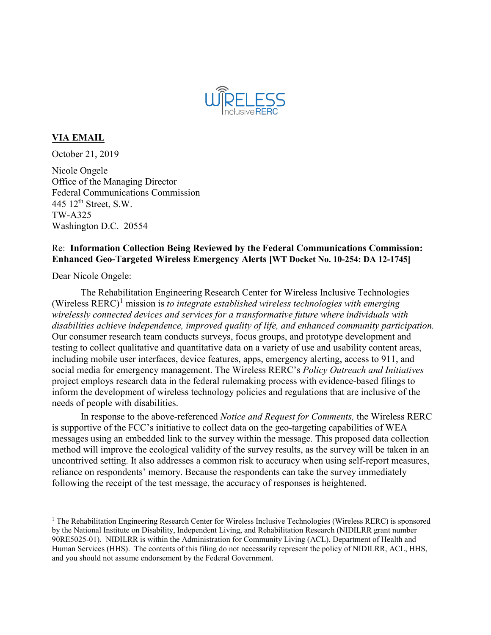

## **VIA EMAIL**

October 21, 2019

Nicole Ongele Office of the Managing Director Federal Communications Commission 445  $12<sup>th</sup>$  Street, S.W. TW-A325 Washington D.C. 20554

## Re: **Information Collection Being Reviewed by the Federal Communications Commission: Enhanced Geo-Targeted Wireless Emergency Alerts [WT Docket No. 10-254: DA 12-1745]**

Dear Nicole Ongele:

The Rehabilitation Engineering Research Center for Wireless Inclusive Technologies (Wireless  $RERC$ )<sup>[1](#page-0-0)</sup> mission is *to integrate established wireless technologies with emerging wirelessly connected devices and services for a transformative future where individuals with disabilities achieve independence, improved quality of life, and enhanced community participation.* Our consumer research team conducts surveys, focus groups, and prototype development and testing to collect qualitative and quantitative data on a variety of use and usability content areas, including mobile user interfaces, device features, apps, emergency alerting, access to 911, and social media for emergency management. The Wireless RERC's *Policy Outreach and Initiatives* project employs research data in the federal rulemaking process with evidence-based filings to inform the development of wireless technology policies and regulations that are inclusive of the needs of people with disabilities.

In response to the above-referenced *Notice and Request for Comments,* the Wireless RERC is supportive of the FCC's initiative to collect data on the geo-targeting capabilities of WEA messages using an embedded link to the survey within the message. This proposed data collection method will improve the ecological validity of the survey results, as the survey will be taken in an uncontrived setting. It also addresses a common risk to accuracy when using self-report measures, reliance on respondents' memory. Because the respondents can take the survey immediately following the receipt of the test message, the accuracy of responses is heightened.

<span id="page-0-0"></span> $1$  The Rehabilitation Engineering Research Center for Wireless Inclusive Technologies (Wireless RERC) is sponsored by the National Institute on Disability, Independent Living, and Rehabilitation Research (NIDILRR grant number 90RE5025-01). NIDILRR is within the Administration for Community Living (ACL), Department of Health and Human Services (HHS). The contents of this filing do not necessarily represent the policy of NIDILRR, ACL, HHS, and you should not assume endorsement by the Federal Government.